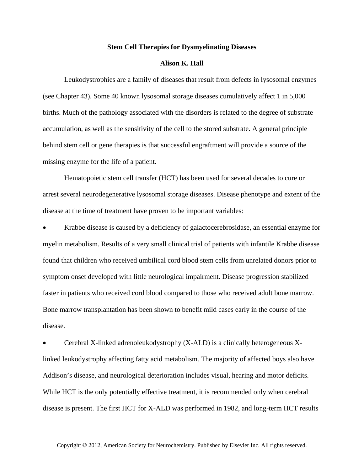## **Stem Cell Therapies for Dysmyelinating Diseases**

## **Alison K. Hall**

Leukodystrophies are a family of diseases that result from defects in lysosomal enzymes (see Chapter 43). Some 40 known lysosomal storage diseases cumulatively affect 1 in 5,000 births. Much of the pathology associated with the disorders is related to the degree of substrate accumulation, as well as the sensitivity of the cell to the stored substrate. A general principle behind stem cell or gene therapies is that successful engraftment will provide a source of the missing enzyme for the life of a patient.

Hematopoietic stem cell transfer (HCT) has been used for several decades to cure or arrest several neurodegenerative lysosomal storage diseases. Disease phenotype and extent of the disease at the time of treatment have proven to be important variables:

 Krabbe disease is caused by a deficiency of galactocerebrosidase, an essential enzyme for myelin metabolism. Results of a very small clinical trial of patients with infantile Krabbe disease found that children who received umbilical cord blood stem cells from unrelated donors prior to symptom onset developed with little neurological impairment. Disease progression stabilized faster in patients who received cord blood compared to those who received adult bone marrow. Bone marrow transplantation has been shown to benefit mild cases early in the course of the disease.

 Cerebral X-linked adrenoleukodystrophy (X-ALD) is a clinically heterogeneous Xlinked leukodystrophy affecting fatty acid metabolism. The majority of affected boys also have Addison's disease, and neurological deterioration includes visual, hearing and motor deficits. While HCT is the only potentially effective treatment, it is recommended only when cerebral disease is present. The first HCT for X-ALD was performed in 1982, and long-term HCT results